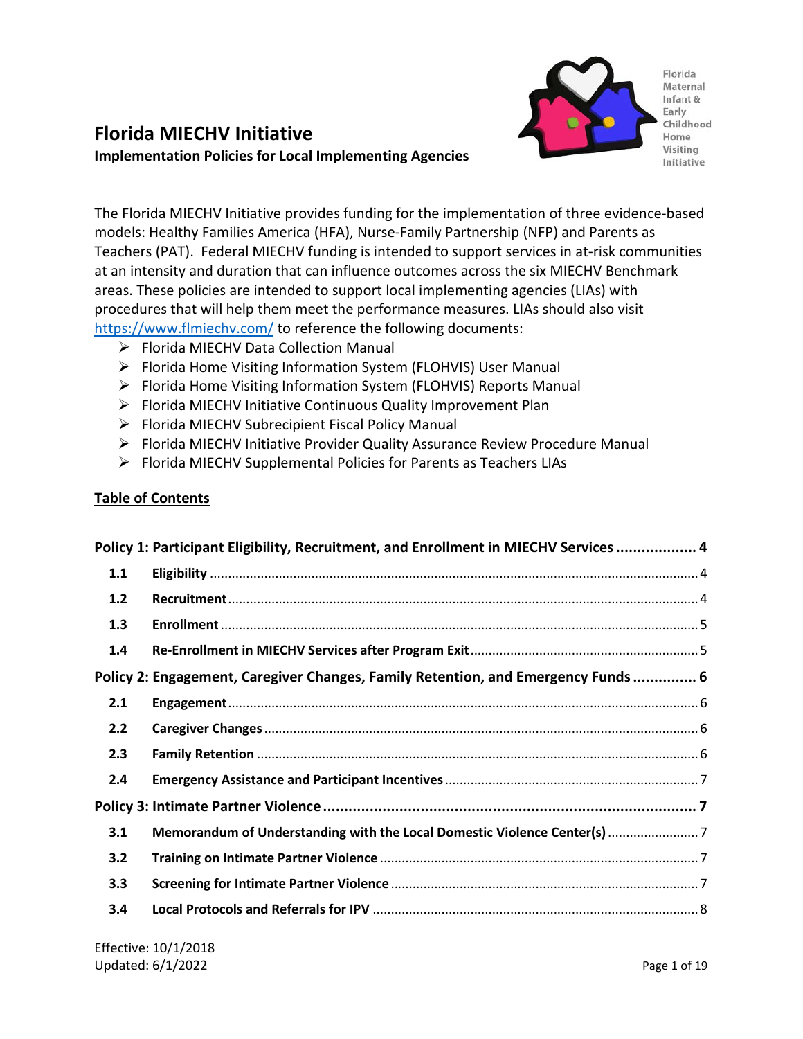# **Florida MIECHV Initiative Implementation Policies for Local Implementing Agencies**



The Florida MIECHV Initiative provides funding for the implementation of three evidence-based models: Healthy Families America (HFA), Nurse-Family Partnership (NFP) and Parents as Teachers (PAT). Federal MIECHV funding is intended to support services in at-risk communities at an intensity and duration that can influence outcomes across the six MIECHV Benchmark areas. These policies are intended to support local implementing agencies (LIAs) with procedures that will help them meet the performance measures. LIAs should also visit <https://www.flmiechv.com/> to reference the following documents:

- Florida MIECHV Data Collection Manual
- Florida Home Visiting Information System (FLOHVIS) User Manual
- Florida Home Visiting Information System (FLOHVIS) Reports Manual
- $\triangleright$  Florida MIECHV Initiative Continuous Quality Improvement Plan
- $\triangleright$  Florida MIECHV Subrecipient Fiscal Policy Manual
- Florida MIECHV Initiative Provider Quality Assurance Review Procedure Manual
- $\triangleright$  Florida MIECHV Supplemental Policies for Parents as Teachers LIAs

#### **Table of Contents**

| Policy 1: Participant Eligibility, Recruitment, and Enrollment in MIECHV Services  4 |                                                                          |  |  |
|--------------------------------------------------------------------------------------|--------------------------------------------------------------------------|--|--|
| 1.1                                                                                  |                                                                          |  |  |
| 1.2                                                                                  |                                                                          |  |  |
| 1.3                                                                                  |                                                                          |  |  |
| 1.4                                                                                  |                                                                          |  |  |
| Policy 2: Engagement, Caregiver Changes, Family Retention, and Emergency Funds 6     |                                                                          |  |  |
| 2.1                                                                                  |                                                                          |  |  |
| 2.2                                                                                  |                                                                          |  |  |
| 2.3                                                                                  |                                                                          |  |  |
| 2.4                                                                                  |                                                                          |  |  |
|                                                                                      |                                                                          |  |  |
| 3.1                                                                                  | Memorandum of Understanding with the Local Domestic Violence Center(s) 7 |  |  |
| 3.2                                                                                  |                                                                          |  |  |
| 3.3                                                                                  |                                                                          |  |  |
| 3.4                                                                                  |                                                                          |  |  |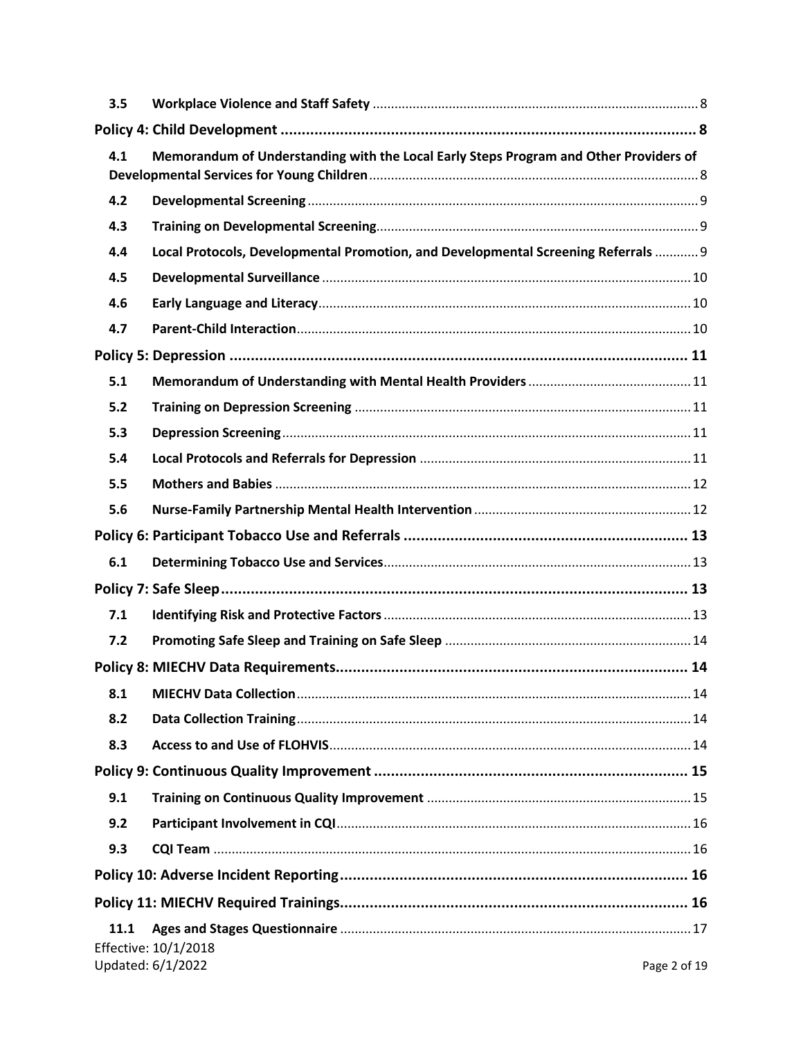| 3.5  |                                                                                       |  |  |  |
|------|---------------------------------------------------------------------------------------|--|--|--|
|      |                                                                                       |  |  |  |
| 4.1  | Memorandum of Understanding with the Local Early Steps Program and Other Providers of |  |  |  |
| 4.2  |                                                                                       |  |  |  |
| 4.3  |                                                                                       |  |  |  |
| 4.4  | Local Protocols, Developmental Promotion, and Developmental Screening Referrals  9    |  |  |  |
| 4.5  |                                                                                       |  |  |  |
| 4.6  |                                                                                       |  |  |  |
| 4.7  |                                                                                       |  |  |  |
|      |                                                                                       |  |  |  |
| 5.1  |                                                                                       |  |  |  |
| 5.2  |                                                                                       |  |  |  |
| 5.3  |                                                                                       |  |  |  |
| 5.4  |                                                                                       |  |  |  |
| 5.5  |                                                                                       |  |  |  |
| 5.6  |                                                                                       |  |  |  |
|      |                                                                                       |  |  |  |
| 6.1  |                                                                                       |  |  |  |
|      |                                                                                       |  |  |  |
| 7.1  |                                                                                       |  |  |  |
| 7.2  |                                                                                       |  |  |  |
|      |                                                                                       |  |  |  |
| 8.1  |                                                                                       |  |  |  |
| 8.2  |                                                                                       |  |  |  |
| 8.3  |                                                                                       |  |  |  |
|      |                                                                                       |  |  |  |
| 9.1  |                                                                                       |  |  |  |
| 9.2  |                                                                                       |  |  |  |
| 9.3  |                                                                                       |  |  |  |
|      |                                                                                       |  |  |  |
|      |                                                                                       |  |  |  |
| 11.1 |                                                                                       |  |  |  |
|      | Effective: 10/1/2018<br>Updated: 6/1/2022<br>Page 2 of 19                             |  |  |  |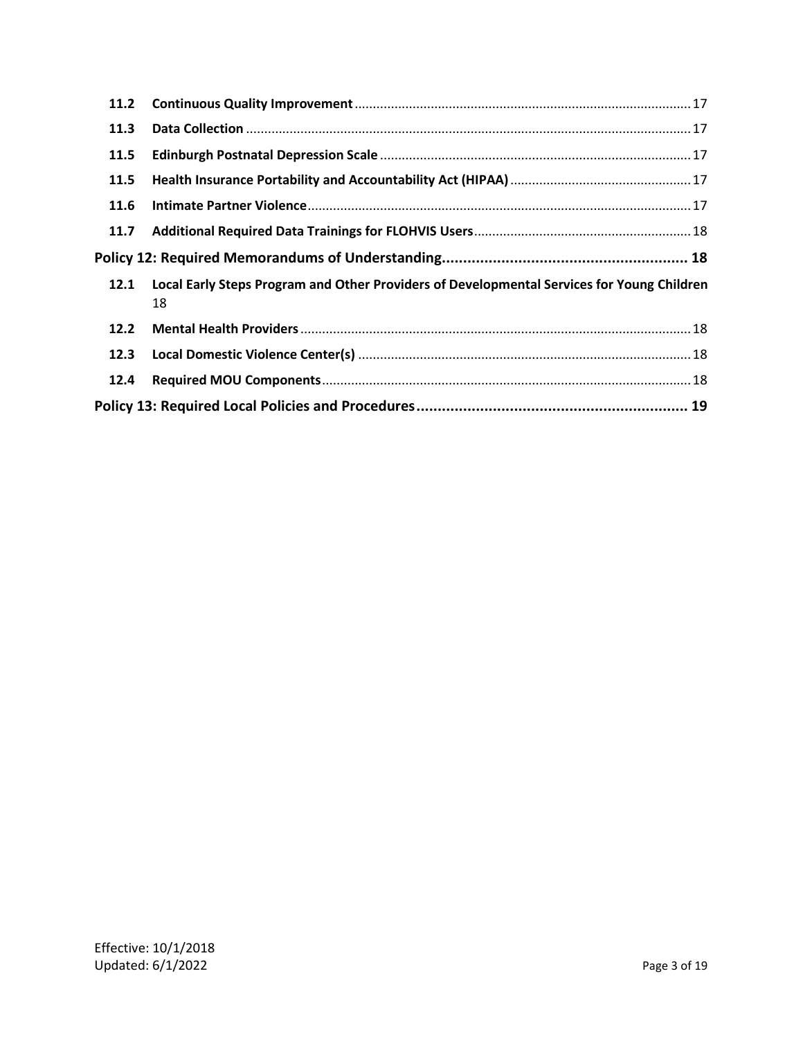| 11.2 |                                                                                                  |  |  |  |
|------|--------------------------------------------------------------------------------------------------|--|--|--|
| 11.3 |                                                                                                  |  |  |  |
| 11.5 |                                                                                                  |  |  |  |
| 11.5 |                                                                                                  |  |  |  |
| 11.6 |                                                                                                  |  |  |  |
| 11.7 |                                                                                                  |  |  |  |
|      |                                                                                                  |  |  |  |
| 12.1 | Local Early Steps Program and Other Providers of Developmental Services for Young Children<br>18 |  |  |  |
| 12.2 |                                                                                                  |  |  |  |
| 12.3 |                                                                                                  |  |  |  |
| 12.4 |                                                                                                  |  |  |  |
|      |                                                                                                  |  |  |  |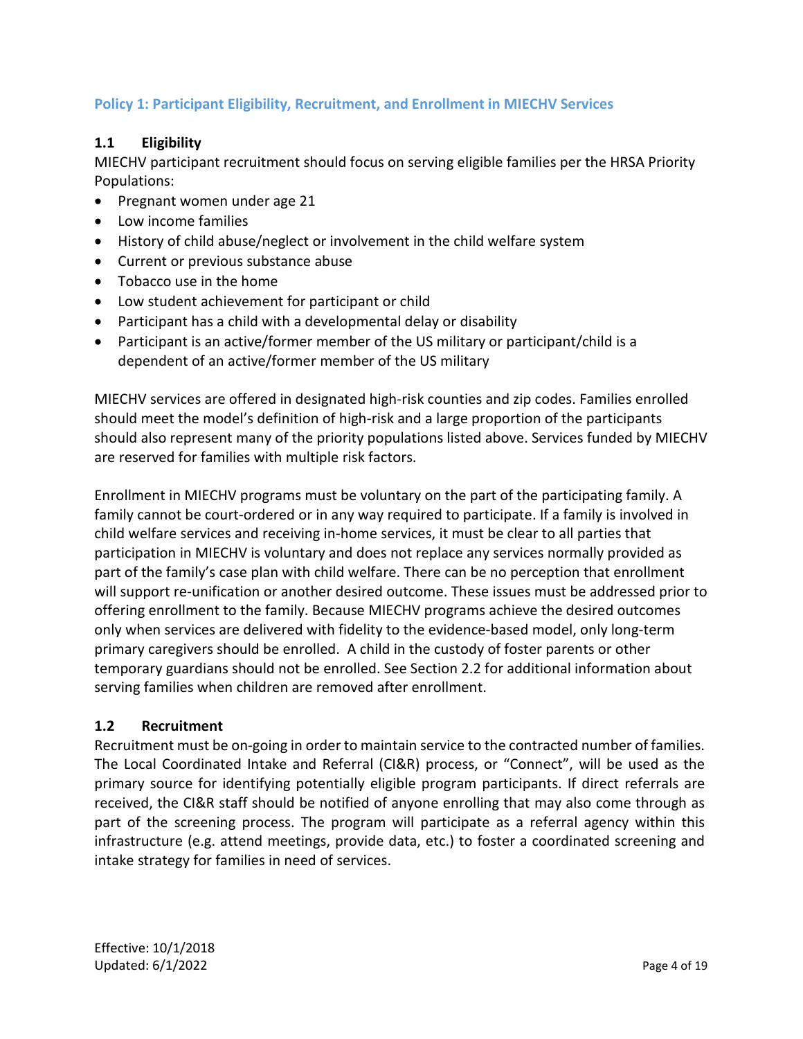### <span id="page-3-0"></span>**Policy 1: Participant Eligibility, Recruitment, and Enrollment in MIECHV Services**

#### <span id="page-3-1"></span>**1.1 Eligibility**

MIECHV participant recruitment should focus on serving eligible families per the HRSA Priority Populations:

- Pregnant women under age 21
- Low income families
- History of child abuse/neglect or involvement in the child welfare system
- Current or previous substance abuse
- Tobacco use in the home
- Low student achievement for participant or child
- Participant has a child with a developmental delay or disability
- Participant is an active/former member of the US military or participant/child is a dependent of an active/former member of the US military

MIECHV services are offered in designated high-risk counties and zip codes. Families enrolled should meet the model's definition of high-risk and a large proportion of the participants should also represent many of the priority populations listed above. Services funded by MIECHV are reserved for families with multiple risk factors.

Enrollment in MIECHV programs must be voluntary on the part of the participating family. A family cannot be court-ordered or in any way required to participate. If a family is involved in child welfare services and receiving in-home services, it must be clear to all parties that participation in MIECHV is voluntary and does not replace any services normally provided as part of the family's case plan with child welfare. There can be no perception that enrollment will support re-unification or another desired outcome. These issues must be addressed prior to offering enrollment to the family. Because MIECHV programs achieve the desired outcomes only when services are delivered with fidelity to the evidence-based model, only long-term primary caregivers should be enrolled. A child in the custody of foster parents or other temporary guardians should not be enrolled. See Section 2.2 for additional information about serving families when children are removed after enrollment.

#### <span id="page-3-2"></span>**1.2 Recruitment**

Recruitment must be on-going in order to maintain service to the contracted number of families. The Local Coordinated Intake and Referral (CI&R) process, or "Connect", will be used as the primary source for identifying potentially eligible program participants. If direct referrals are received, the CI&R staff should be notified of anyone enrolling that may also come through as part of the screening process. The program will participate as a referral agency within this infrastructure (e.g. attend meetings, provide data, etc.) to foster a coordinated screening and intake strategy for families in need of services.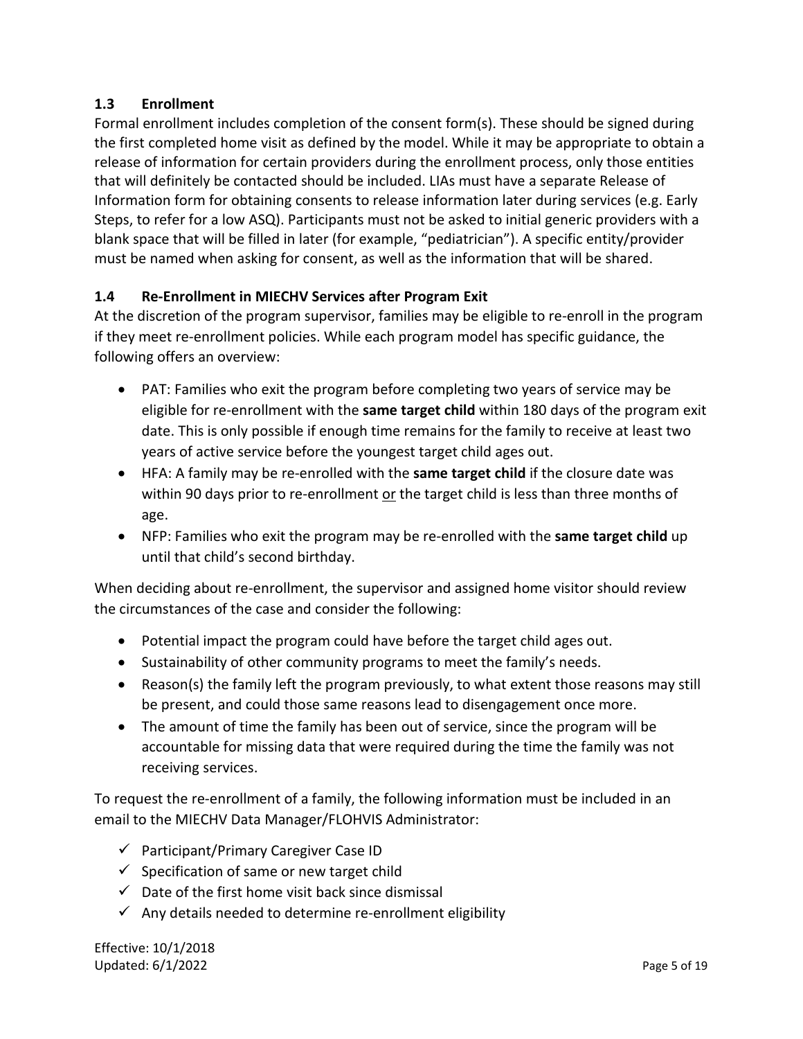# <span id="page-4-0"></span>**1.3 Enrollment**

Formal enrollment includes completion of the consent form(s). These should be signed during the first completed home visit as defined by the model. While it may be appropriate to obtain a release of information for certain providers during the enrollment process, only those entities that will definitely be contacted should be included. LIAs must have a separate Release of Information form for obtaining consents to release information later during services (e.g. Early Steps, to refer for a low ASQ). Participants must not be asked to initial generic providers with a blank space that will be filled in later (for example, "pediatrician"). A specific entity/provider must be named when asking for consent, as well as the information that will be shared.

# <span id="page-4-1"></span>**1.4 Re-Enrollment in MIECHV Services after Program Exit**

At the discretion of the program supervisor, families may be eligible to re-enroll in the program if they meet re-enrollment policies. While each program model has specific guidance, the following offers an overview:

- PAT: Families who exit the program before completing two years of service may be eligible for re-enrollment with the **same target child** within 180 days of the program exit date. This is only possible if enough time remains for the family to receive at least two years of active service before the youngest target child ages out.
- HFA: A family may be re-enrolled with the **same target child** if the closure date was within 90 days prior to re-enrollment or the target child is less than three months of age.
- NFP: Families who exit the program may be re-enrolled with the **same target child** up until that child's second birthday.

When deciding about re-enrollment, the supervisor and assigned home visitor should review the circumstances of the case and consider the following:

- Potential impact the program could have before the target child ages out.
- Sustainability of other community programs to meet the family's needs.
- Reason(s) the family left the program previously, to what extent those reasons may still be present, and could those same reasons lead to disengagement once more.
- The amount of time the family has been out of service, since the program will be accountable for missing data that were required during the time the family was not receiving services.

To request the re-enrollment of a family, the following information must be included in an email to the MIECHV Data Manager/FLOHVIS Administrator:

- $\checkmark$  Participant/Primary Caregiver Case ID
- $\checkmark$  Specification of same or new target child
- $\checkmark$  Date of the first home visit back since dismissal
- $\checkmark$  Any details needed to determine re-enrollment eligibility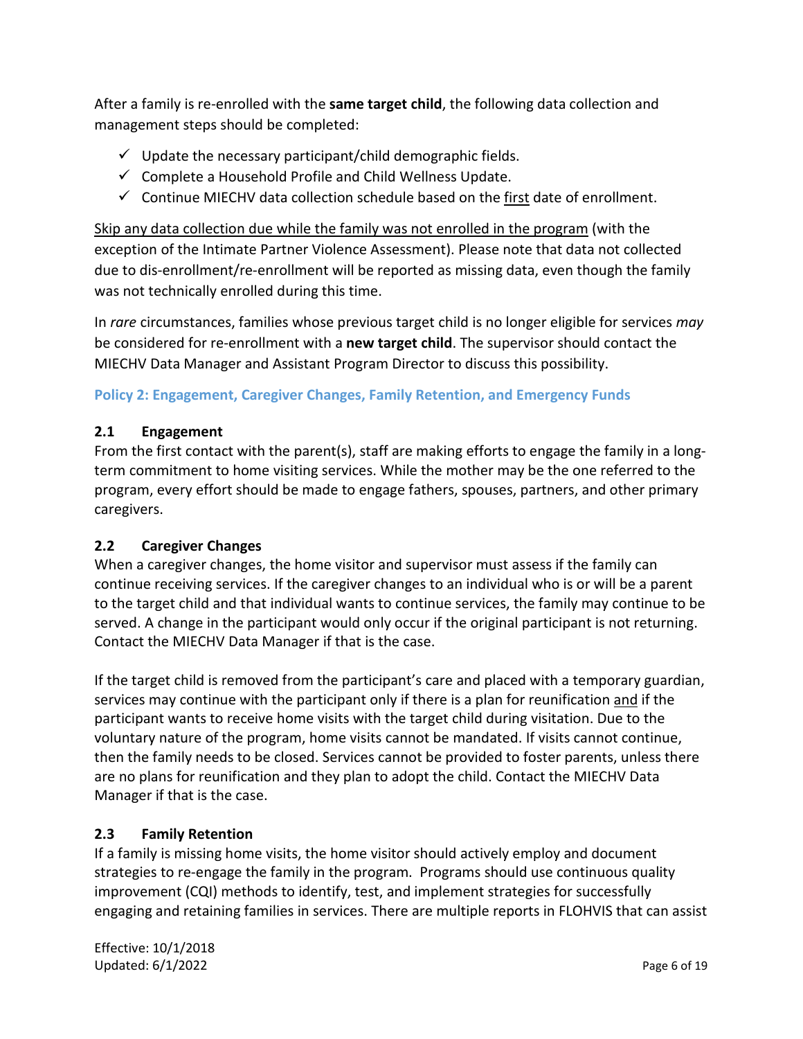After a family is re-enrolled with the **same target child**, the following data collection and management steps should be completed:

- $\checkmark$  Update the necessary participant/child demographic fields.
- $\checkmark$  Complete a Household Profile and Child Wellness Update.
- $\checkmark$  Continue MIECHV data collection schedule based on the first date of enrollment.

Skip any data collection due while the family was not enrolled in the program (with the exception of the Intimate Partner Violence Assessment). Please note that data not collected due to dis-enrollment/re-enrollment will be reported as missing data, even though the family was not technically enrolled during this time.

In *rare* circumstances, families whose previous target child is no longer eligible for services *may* be considered for re-enrollment with a **new target child**. The supervisor should contact the MIECHV Data Manager and Assistant Program Director to discuss this possibility.

# <span id="page-5-0"></span>**Policy 2: Engagement, Caregiver Changes, Family Retention, and Emergency Funds**

### <span id="page-5-1"></span>**2.1 Engagement**

From the first contact with the parent(s), staff are making efforts to engage the family in a longterm commitment to home visiting services. While the mother may be the one referred to the program, every effort should be made to engage fathers, spouses, partners, and other primary caregivers.

#### <span id="page-5-2"></span>**2.2 Caregiver Changes**

When a caregiver changes, the home visitor and supervisor must assess if the family can continue receiving services. If the caregiver changes to an individual who is or will be a parent to the target child and that individual wants to continue services, the family may continue to be served. A change in the participant would only occur if the original participant is not returning. Contact the MIECHV Data Manager if that is the case.

If the target child is removed from the participant's care and placed with a temporary guardian, services may continue with the participant only if there is a plan for reunification and if the participant wants to receive home visits with the target child during visitation. Due to the voluntary nature of the program, home visits cannot be mandated. If visits cannot continue, then the family needs to be closed. Services cannot be provided to foster parents, unless there are no plans for reunification and they plan to adopt the child. Contact the MIECHV Data Manager if that is the case.

# <span id="page-5-3"></span>**2.3 Family Retention**

If a family is missing home visits, the home visitor should actively employ and document strategies to re-engage the family in the program. Programs should use continuous quality improvement (CQI) methods to identify, test, and implement strategies for successfully engaging and retaining families in services. There are multiple reports in FLOHVIS that can assist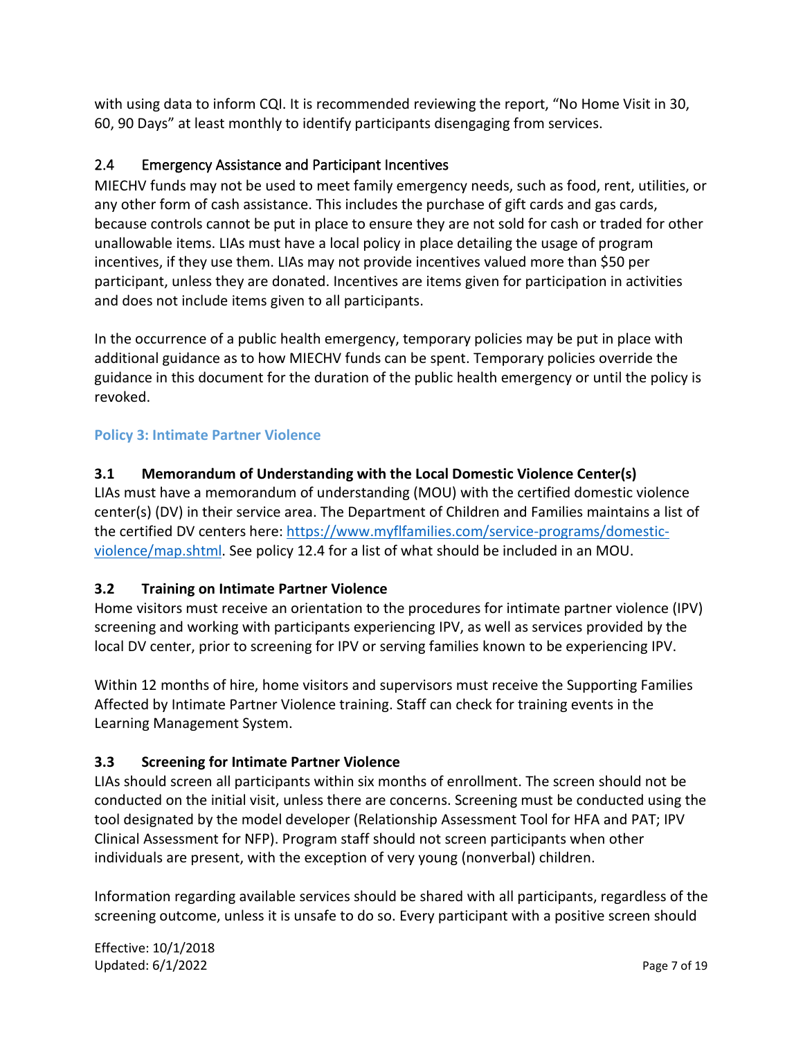with using data to inform CQI. It is recommended reviewing the report, "No Home Visit in 30, 60, 90 Days" at least monthly to identify participants disengaging from services.

# <span id="page-6-0"></span>2.4 Emergency Assistance and Participant Incentives

MIECHV funds may not be used to meet family emergency needs, such as food, rent, utilities, or any other form of cash assistance. This includes the purchase of gift cards and gas cards, because controls cannot be put in place to ensure they are not sold for cash or traded for other unallowable items. LIAs must have a local policy in place detailing the usage of program incentives, if they use them. LIAs may not provide incentives valued more than \$50 per participant, unless they are donated. Incentives are items given for participation in activities and does not include items given to all participants.

In the occurrence of a public health emergency, temporary policies may be put in place with additional guidance as to how MIECHV funds can be spent. Temporary policies override the guidance in this document for the duration of the public health emergency or until the policy is revoked.

# <span id="page-6-1"></span>**Policy 3: Intimate Partner Violence**

# <span id="page-6-2"></span>**3.1 Memorandum of Understanding with the Local Domestic Violence Center(s)**

LIAs must have a memorandum of understanding (MOU) with the certified domestic violence center(s) (DV) in their service area. The Department of Children and Families maintains a list of the certified DV centers here: [https://www.myflfamilies.com/service-programs/domestic](https://www.myflfamilies.com/service-programs/domestic-violence/map.shtml)[violence/map.shtml.](https://www.myflfamilies.com/service-programs/domestic-violence/map.shtml) See policy 12.4 for a list of what should be included in an MOU.

# <span id="page-6-3"></span>**3.2 Training on Intimate Partner Violence**

Home visitors must receive an orientation to the procedures for intimate partner violence (IPV) screening and working with participants experiencing IPV, as well as services provided by the local DV center, prior to screening for IPV or serving families known to be experiencing IPV.

Within 12 months of hire, home visitors and supervisors must receive the Supporting Families Affected by Intimate Partner Violence training. Staff can check for training events in the Learning Management System.

# <span id="page-6-4"></span>**3.3 Screening for Intimate Partner Violence**

LIAs should screen all participants within six months of enrollment. The screen should not be conducted on the initial visit, unless there are concerns. Screening must be conducted using the tool designated by the model developer (Relationship Assessment Tool for HFA and PAT; IPV Clinical Assessment for NFP). Program staff should not screen participants when other individuals are present, with the exception of very young (nonverbal) children.

Information regarding available services should be shared with all participants, regardless of the screening outcome, unless it is unsafe to do so. Every participant with a positive screen should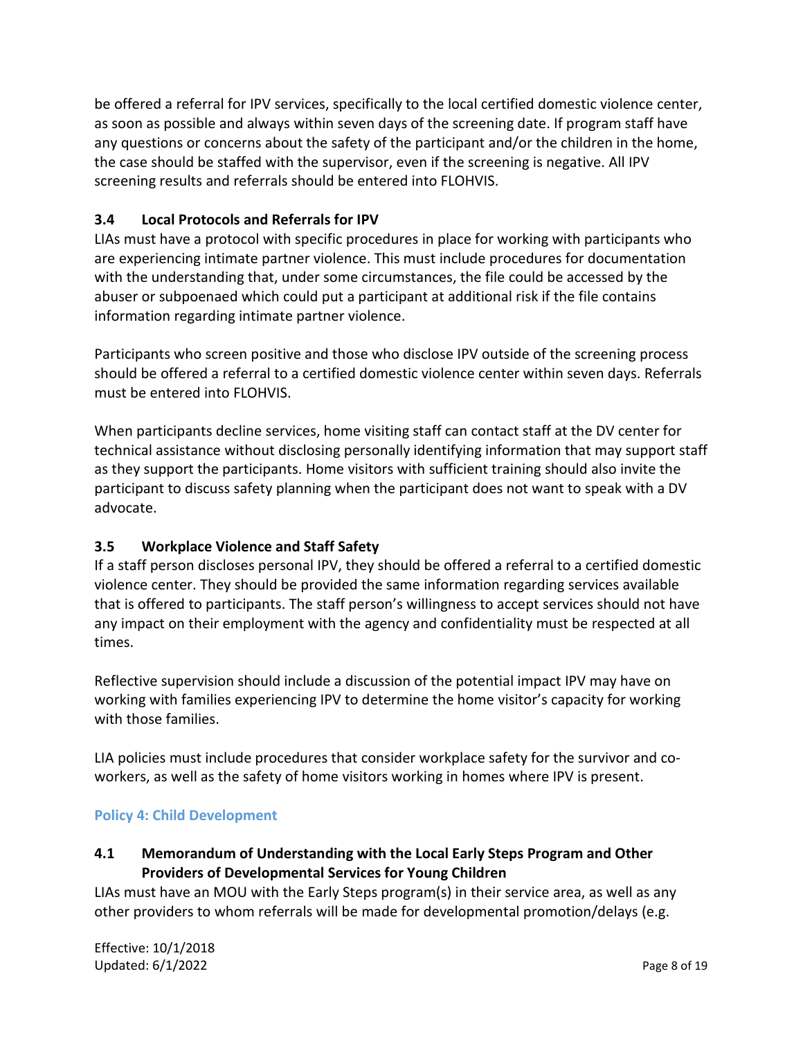be offered a referral for IPV services, specifically to the local certified domestic violence center, as soon as possible and always within seven days of the screening date. If program staff have any questions or concerns about the safety of the participant and/or the children in the home, the case should be staffed with the supervisor, even if the screening is negative. All IPV screening results and referrals should be entered into FLOHVIS.

# <span id="page-7-0"></span>**3.4 Local Protocols and Referrals for IPV**

LIAs must have a protocol with specific procedures in place for working with participants who are experiencing intimate partner violence. This must include procedures for documentation with the understanding that, under some circumstances, the file could be accessed by the abuser or subpoenaed which could put a participant at additional risk if the file contains information regarding intimate partner violence.

Participants who screen positive and those who disclose IPV outside of the screening process should be offered a referral to a certified domestic violence center within seven days. Referrals must be entered into FLOHVIS.

When participants decline services, home visiting staff can contact staff at the DV center for technical assistance without disclosing personally identifying information that may support staff as they support the participants. Home visitors with sufficient training should also invite the participant to discuss safety planning when the participant does not want to speak with a DV advocate.

# <span id="page-7-1"></span>**3.5 Workplace Violence and Staff Safety**

If a staff person discloses personal IPV, they should be offered a referral to a certified domestic violence center. They should be provided the same information regarding services available that is offered to participants. The staff person's willingness to accept services should not have any impact on their employment with the agency and confidentiality must be respected at all times.

Reflective supervision should include a discussion of the potential impact IPV may have on working with families experiencing IPV to determine the home visitor's capacity for working with those families.

LIA policies must include procedures that consider workplace safety for the survivor and coworkers, as well as the safety of home visitors working in homes where IPV is present.

# <span id="page-7-2"></span>**Policy 4: Child Development**

# <span id="page-7-3"></span>**4.1 Memorandum of Understanding with the Local Early Steps Program and Other Providers of Developmental Services for Young Children**

LIAs must have an MOU with the Early Steps program(s) in their service area, as well as any other providers to whom referrals will be made for developmental promotion/delays (e.g.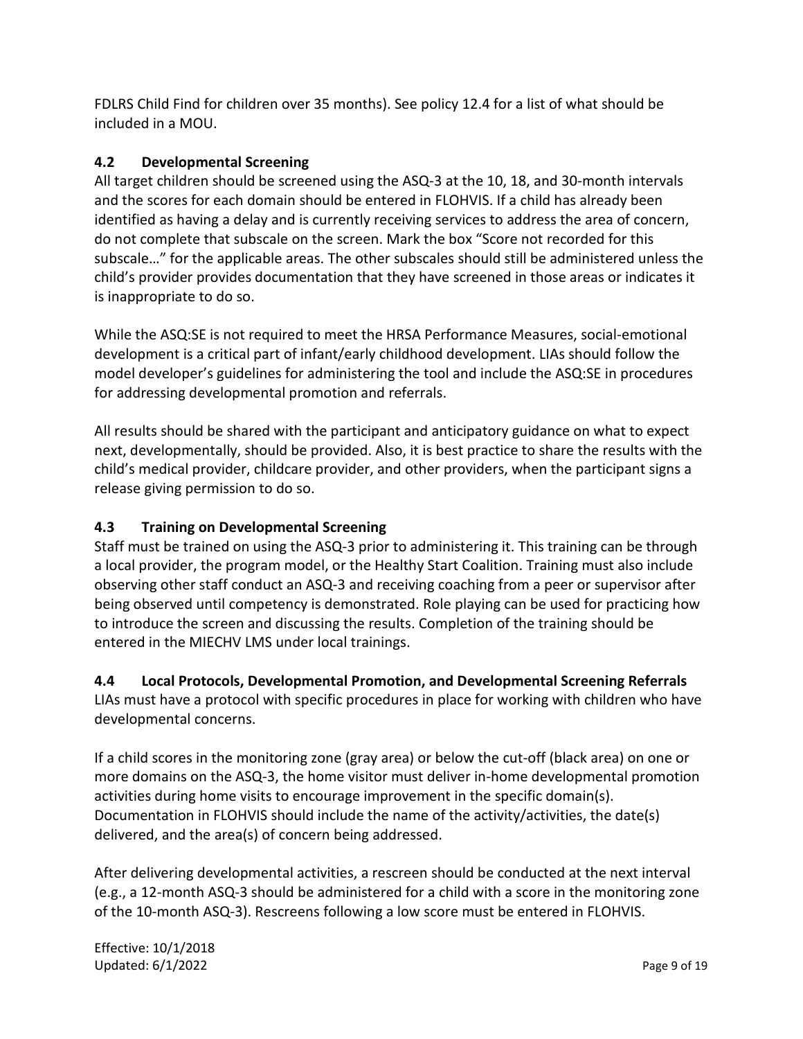FDLRS Child Find for children over 35 months). See policy 12.4 for a list of what should be included in a MOU.

# <span id="page-8-0"></span>**4.2 Developmental Screening**

All target children should be screened using the ASQ-3 at the 10, 18, and 30-month intervals and the scores for each domain should be entered in FLOHVIS. If a child has already been identified as having a delay and is currently receiving services to address the area of concern, do not complete that subscale on the screen. Mark the box "Score not recorded for this subscale…" for the applicable areas. The other subscales should still be administered unless the child's provider provides documentation that they have screened in those areas or indicates it is inappropriate to do so.

While the ASQ:SE is not required to meet the HRSA Performance Measures, social-emotional development is a critical part of infant/early childhood development. LIAs should follow the model developer's guidelines for administering the tool and include the ASQ:SE in procedures for addressing developmental promotion and referrals.

All results should be shared with the participant and anticipatory guidance on what to expect next, developmentally, should be provided. Also, it is best practice to share the results with the child's medical provider, childcare provider, and other providers, when the participant signs a release giving permission to do so.

# <span id="page-8-1"></span>**4.3 Training on Developmental Screening**

Staff must be trained on using the ASQ-3 prior to administering it. This training can be through a local provider, the program model, or the Healthy Start Coalition. Training must also include observing other staff conduct an ASQ-3 and receiving coaching from a peer or supervisor after being observed until competency is demonstrated. Role playing can be used for practicing how to introduce the screen and discussing the results. Completion of the training should be entered in the MIECHV LMS under local trainings.

# <span id="page-8-2"></span>**4.4 Local Protocols, Developmental Promotion, and Developmental Screening Referrals**

LIAs must have a protocol with specific procedures in place for working with children who have developmental concerns.

If a child scores in the monitoring zone (gray area) or below the cut-off (black area) on one or more domains on the ASQ-3, the home visitor must deliver in-home developmental promotion activities during home visits to encourage improvement in the specific domain(s). Documentation in FLOHVIS should include the name of the activity/activities, the date(s) delivered, and the area(s) of concern being addressed.

After delivering developmental activities, a rescreen should be conducted at the next interval (e.g., a 12-month ASQ-3 should be administered for a child with a score in the monitoring zone of the 10-month ASQ-3). Rescreens following a low score must be entered in FLOHVIS.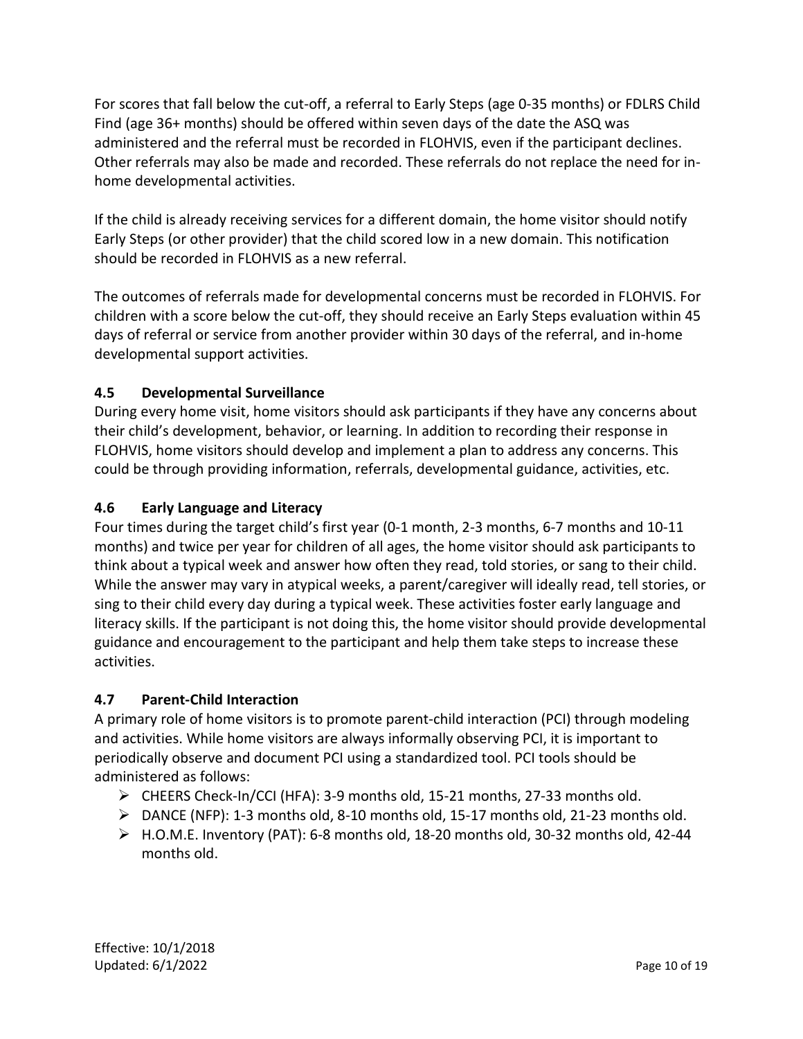For scores that fall below the cut-off, a referral to Early Steps (age 0-35 months) or FDLRS Child Find (age 36+ months) should be offered within seven days of the date the ASQ was administered and the referral must be recorded in FLOHVIS, even if the participant declines. Other referrals may also be made and recorded. These referrals do not replace the need for inhome developmental activities.

If the child is already receiving services for a different domain, the home visitor should notify Early Steps (or other provider) that the child scored low in a new domain. This notification should be recorded in FLOHVIS as a new referral.

The outcomes of referrals made for developmental concerns must be recorded in FLOHVIS. For children with a score below the cut-off, they should receive an Early Steps evaluation within 45 days of referral or service from another provider within 30 days of the referral, and in-home developmental support activities.

# <span id="page-9-0"></span>**4.5 Developmental Surveillance**

During every home visit, home visitors should ask participants if they have any concerns about their child's development, behavior, or learning. In addition to recording their response in FLOHVIS, home visitors should develop and implement a plan to address any concerns. This could be through providing information, referrals, developmental guidance, activities, etc.

# <span id="page-9-1"></span>**4.6 Early Language and Literacy**

Four times during the target child's first year (0-1 month, 2-3 months, 6-7 months and 10-11 months) and twice per year for children of all ages, the home visitor should ask participants to think about a typical week and answer how often they read, told stories, or sang to their child. While the answer may vary in atypical weeks, a parent/caregiver will ideally read, tell stories, or sing to their child every day during a typical week. These activities foster early language and literacy skills. If the participant is not doing this, the home visitor should provide developmental guidance and encouragement to the participant and help them take steps to increase these activities.

# <span id="page-9-2"></span>**4.7 Parent-Child Interaction**

A primary role of home visitors is to promote parent-child interaction (PCI) through modeling and activities. While home visitors are always informally observing PCI, it is important to periodically observe and document PCI using a standardized tool. PCI tools should be administered as follows:

- CHEERS Check-In/CCI (HFA): 3-9 months old, 15-21 months, 27-33 months old.
- DANCE (NFP): 1-3 months old, 8-10 months old, 15-17 months old, 21-23 months old.
- $\triangleright$  H.O.M.E. Inventory (PAT): 6-8 months old, 18-20 months old, 30-32 months old, 42-44 months old.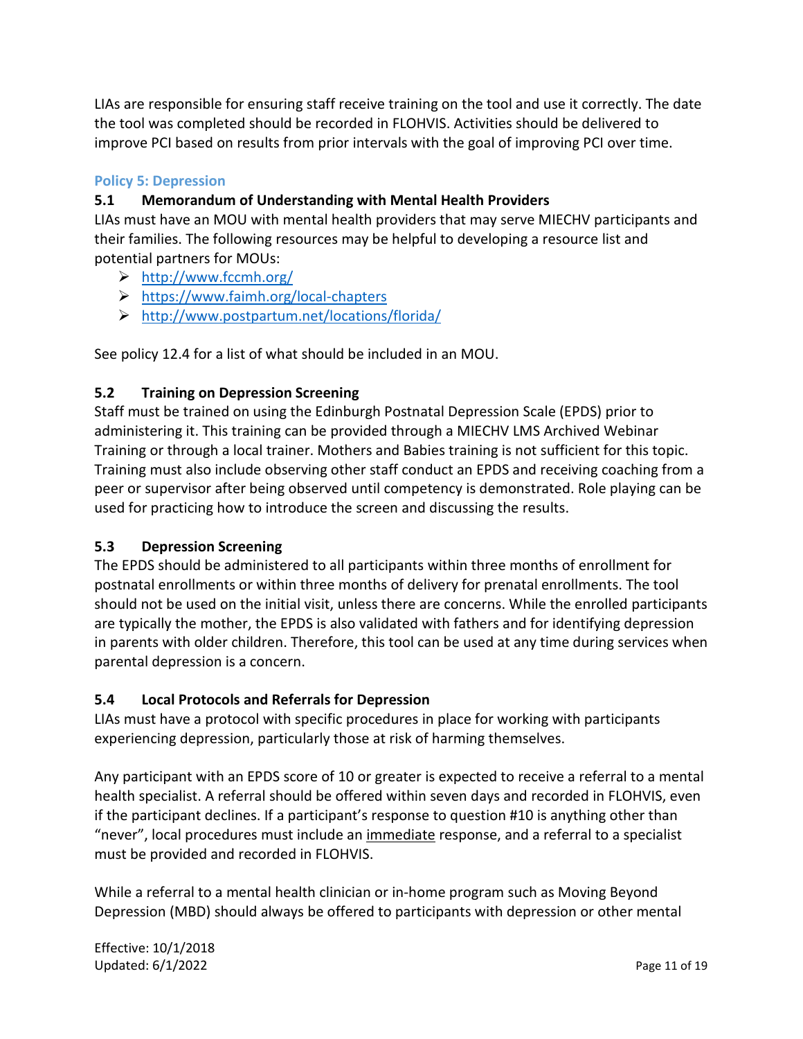LIAs are responsible for ensuring staff receive training on the tool and use it correctly. The date the tool was completed should be recorded in FLOHVIS. Activities should be delivered to improve PCI based on results from prior intervals with the goal of improving PCI over time.

# <span id="page-10-0"></span>**Policy 5: Depression**

### <span id="page-10-1"></span>**5.1 Memorandum of Understanding with Mental Health Providers**

LIAs must have an MOU with mental health providers that may serve MIECHV participants and their families. The following resources may be helpful to developing a resource list and potential partners for MOUs:

- <http://www.fccmh.org/>
- <https://www.faimh.org/local-chapters>
- <http://www.postpartum.net/locations/florida/>

See policy 12.4 for a list of what should be included in an MOU.

### <span id="page-10-2"></span>**5.2 Training on Depression Screening**

Staff must be trained on using the Edinburgh Postnatal Depression Scale (EPDS) prior to administering it. This training can be provided through a MIECHV LMS Archived Webinar Training or through a local trainer. Mothers and Babies training is not sufficient for this topic. Training must also include observing other staff conduct an EPDS and receiving coaching from a peer or supervisor after being observed until competency is demonstrated. Role playing can be used for practicing how to introduce the screen and discussing the results.

#### <span id="page-10-3"></span>**5.3 Depression Screening**

The EPDS should be administered to all participants within three months of enrollment for postnatal enrollments or within three months of delivery for prenatal enrollments. The tool should not be used on the initial visit, unless there are concerns. While the enrolled participants are typically the mother, the EPDS is also validated with fathers and for identifying depression in parents with older children. Therefore, this tool can be used at any time during services when parental depression is a concern.

#### <span id="page-10-4"></span>**5.4 Local Protocols and Referrals for Depression**

LIAs must have a protocol with specific procedures in place for working with participants experiencing depression, particularly those at risk of harming themselves.

Any participant with an EPDS score of 10 or greater is expected to receive a referral to a mental health specialist. A referral should be offered within seven days and recorded in FLOHVIS, even if the participant declines. If a participant's response to question #10 is anything other than "never", local procedures must include an immediate response, and a referral to a specialist must be provided and recorded in FLOHVIS.

While a referral to a mental health clinician or in-home program such as Moving Beyond Depression (MBD) should always be offered to participants with depression or other mental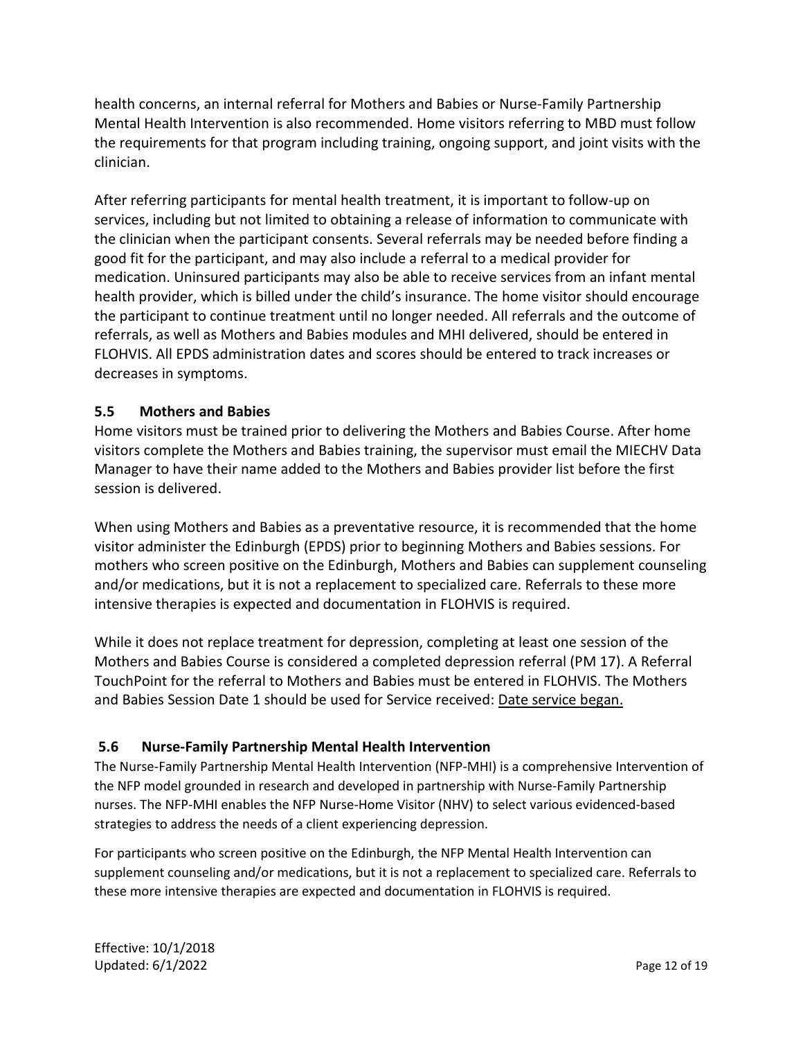health concerns, an internal referral for Mothers and Babies or Nurse-Family Partnership Mental Health Intervention is also recommended. Home visitors referring to MBD must follow the requirements for that program including training, ongoing support, and joint visits with the clinician.

After referring participants for mental health treatment, it is important to follow-up on services, including but not limited to obtaining a release of information to communicate with the clinician when the participant consents. Several referrals may be needed before finding a good fit for the participant, and may also include a referral to a medical provider for medication. Uninsured participants may also be able to receive services from an infant mental health provider, which is billed under the child's insurance. The home visitor should encourage the participant to continue treatment until no longer needed. All referrals and the outcome of referrals, as well as Mothers and Babies modules and MHI delivered, should be entered in FLOHVIS. All EPDS administration dates and scores should be entered to track increases or decreases in symptoms.

# <span id="page-11-0"></span>**5.5 Mothers and Babies**

Home visitors must be trained prior to delivering the Mothers and Babies Course. After home visitors complete the Mothers and Babies training, the supervisor must email the MIECHV Data Manager to have their name added to the Mothers and Babies provider list before the first session is delivered.

When using Mothers and Babies as a preventative resource, it is recommended that the home visitor administer the Edinburgh (EPDS) prior to beginning Mothers and Babies sessions. For mothers who screen positive on the Edinburgh, Mothers and Babies can supplement counseling and/or medications, but it is not a replacement to specialized care. Referrals to these more intensive therapies is expected and documentation in FLOHVIS is required.

While it does not replace treatment for depression, completing at least one session of the Mothers and Babies Course is considered a completed depression referral (PM 17). A Referral TouchPoint for the referral to Mothers and Babies must be entered in FLOHVIS. The Mothers and Babies Session Date 1 should be used for Service received: Date service began.

# <span id="page-11-1"></span>**5.6 Nurse-Family Partnership Mental Health Intervention**

The Nurse-Family Partnership Mental Health Intervention (NFP-MHI) is a comprehensive Intervention of the NFP model grounded in research and developed in partnership with Nurse-Family Partnership nurses. The NFP-MHI enables the NFP Nurse-Home Visitor (NHV) to select various evidenced-based strategies to address the needs of a client experiencing depression.

For participants who screen positive on the Edinburgh, the NFP Mental Health Intervention can supplement counseling and/or medications, but it is not a replacement to specialized care. Referrals to these more intensive therapies are expected and documentation in FLOHVIS is required.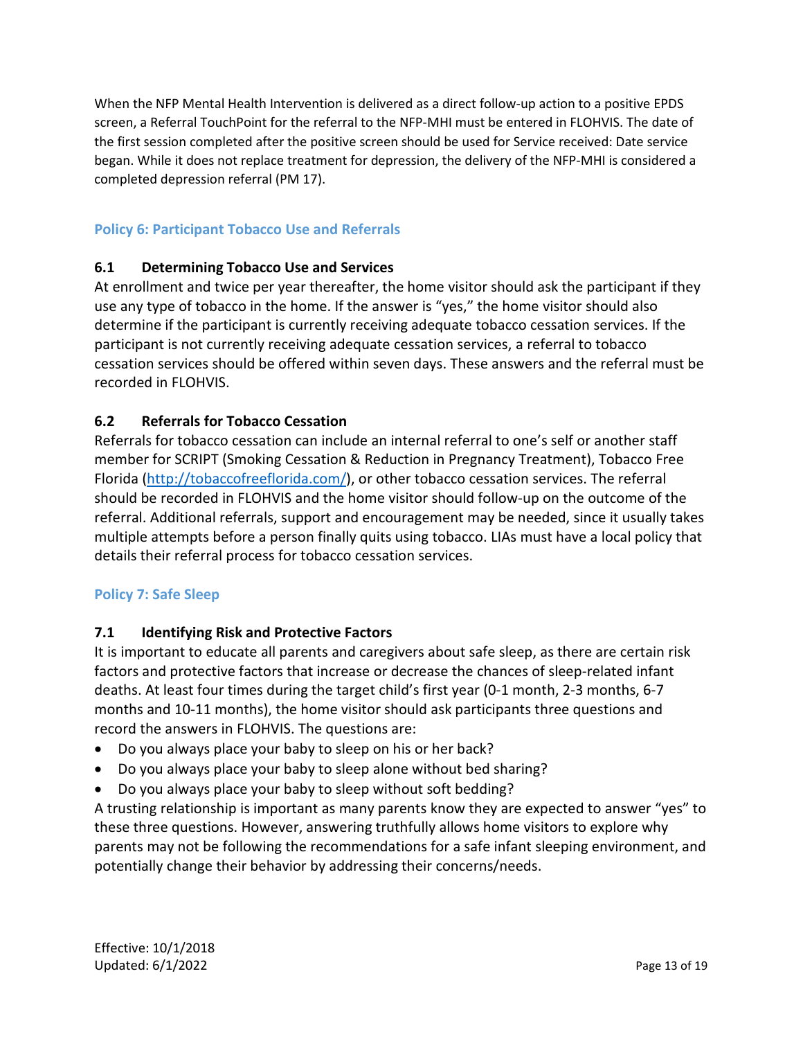When the NFP Mental Health Intervention is delivered as a direct follow-up action to a positive EPDS screen, a Referral TouchPoint for the referral to the NFP-MHI must be entered in FLOHVIS. The date of the first session completed after the positive screen should be used for Service received: Date service began. While it does not replace treatment for depression, the delivery of the NFP-MHI is considered a completed depression referral (PM 17).

# <span id="page-12-0"></span>**Policy 6: Participant Tobacco Use and Referrals**

# <span id="page-12-1"></span>**6.1 Determining Tobacco Use and Services**

At enrollment and twice per year thereafter, the home visitor should ask the participant if they use any type of tobacco in the home. If the answer is "yes," the home visitor should also determine if the participant is currently receiving adequate tobacco cessation services. If the participant is not currently receiving adequate cessation services, a referral to tobacco cessation services should be offered within seven days. These answers and the referral must be recorded in FLOHVIS.

### **6.2 Referrals for Tobacco Cessation**

Referrals for tobacco cessation can include an internal referral to one's self or another staff member for SCRIPT (Smoking Cessation & Reduction in Pregnancy Treatment), Tobacco Free Florida [\(http://tobaccofreeflorida.com/\)](http://tobaccofreeflorida.com/), or other tobacco cessation services. The referral should be recorded in FLOHVIS and the home visitor should follow-up on the outcome of the referral. Additional referrals, support and encouragement may be needed, since it usually takes multiple attempts before a person finally quits using tobacco. LIAs must have a local policy that details their referral process for tobacco cessation services.

#### <span id="page-12-2"></span>**Policy 7: Safe Sleep**

# <span id="page-12-3"></span>**7.1 Identifying Risk and Protective Factors**

It is important to educate all parents and caregivers about safe sleep, as there are certain risk factors and protective factors that increase or decrease the chances of sleep-related infant deaths. At least four times during the target child's first year (0-1 month, 2-3 months, 6-7 months and 10-11 months), the home visitor should ask participants three questions and record the answers in FLOHVIS. The questions are:

- Do you always place your baby to sleep on his or her back?
- Do you always place your baby to sleep alone without bed sharing?
- Do you always place your baby to sleep without soft bedding?

A trusting relationship is important as many parents know they are expected to answer "yes" to these three questions. However, answering truthfully allows home visitors to explore why parents may not be following the recommendations for a safe infant sleeping environment, and potentially change their behavior by addressing their concerns/needs.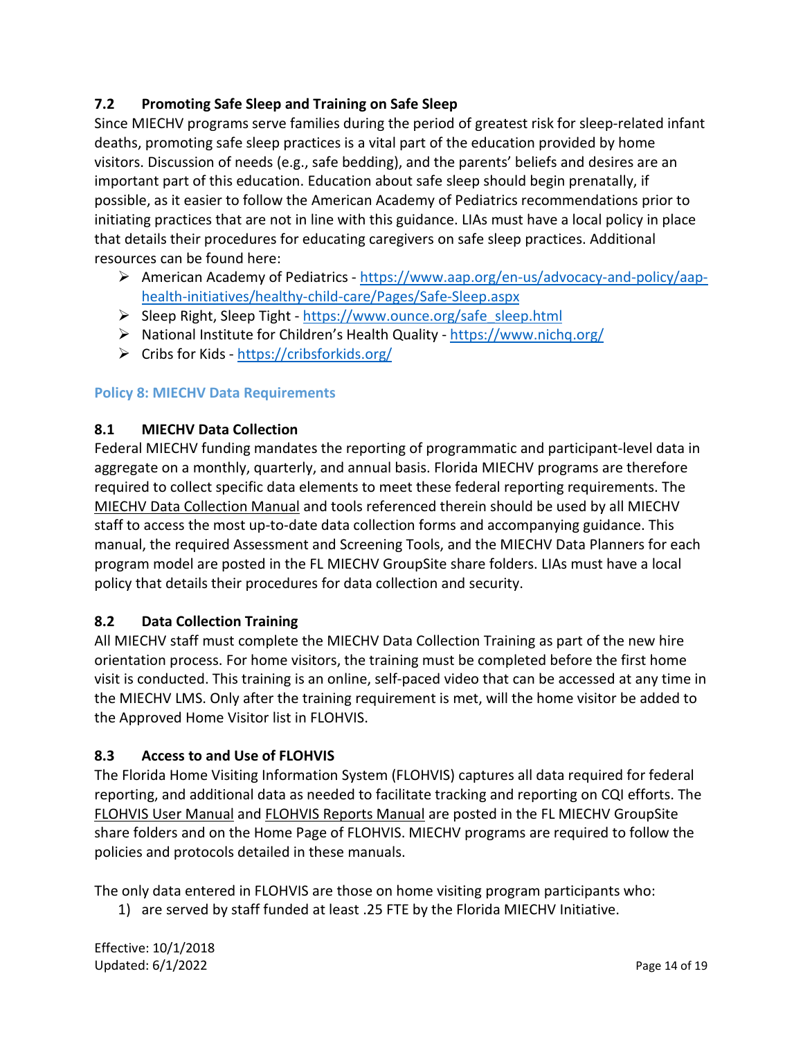# <span id="page-13-0"></span>**7.2 Promoting Safe Sleep and Training on Safe Sleep**

Since MIECHV programs serve families during the period of greatest risk for sleep-related infant deaths, promoting safe sleep practices is a vital part of the education provided by home visitors. Discussion of needs (e.g., safe bedding), and the parents' beliefs and desires are an important part of this education. Education about safe sleep should begin prenatally, if possible, as it easier to follow the American Academy of Pediatrics recommendations prior to initiating practices that are not in line with this guidance. LIAs must have a local policy in place that details their procedures for educating caregivers on safe sleep practices. Additional resources can be found here:

- American Academy of Pediatrics [https://www.aap.org/en-us/advocacy-and-policy/aap](https://www.aap.org/en-us/advocacy-and-policy/aap-health-initiatives/healthy-child-care/Pages/Safe-Sleep.aspx)[health-initiatives/healthy-child-care/Pages/Safe-Sleep.aspx](https://www.aap.org/en-us/advocacy-and-policy/aap-health-initiatives/healthy-child-care/Pages/Safe-Sleep.aspx)
- Sleep Right, Sleep Tight [https://www.ounce.org/safe\\_sleep.html](https://www.ounce.org/safe_sleep.html)
- National Institute for Children's Health Quality <https://www.nichq.org/>
- $\triangleright$  Cribs for Kids <https://cribsforkids.org/>

### <span id="page-13-1"></span>**Policy 8: MIECHV Data Requirements**

#### <span id="page-13-2"></span>**8.1 MIECHV Data Collection**

Federal MIECHV funding mandates the reporting of programmatic and participant-level data in aggregate on a monthly, quarterly, and annual basis. Florida MIECHV programs are therefore required to collect specific data elements to meet these federal reporting requirements. The MIECHV Data Collection Manual and tools referenced therein should be used by all MIECHV staff to access the most up-to-date data collection forms and accompanying guidance. This manual, the required Assessment and Screening Tools, and the MIECHV Data Planners for each program model are posted in the FL MIECHV GroupSite share folders. LIAs must have a local policy that details their procedures for data collection and security.

#### <span id="page-13-3"></span>**8.2 Data Collection Training**

All MIECHV staff must complete the MIECHV Data Collection Training as part of the new hire orientation process. For home visitors, the training must be completed before the first home visit is conducted. This training is an online, self-paced video that can be accessed at any time in the MIECHV LMS. Only after the training requirement is met, will the home visitor be added to the Approved Home Visitor list in FLOHVIS.

#### <span id="page-13-4"></span>**8.3 Access to and Use of FLOHVIS**

The Florida Home Visiting Information System (FLOHVIS) captures all data required for federal reporting, and additional data as needed to facilitate tracking and reporting on CQI efforts. The FLOHVIS User Manual and FLOHVIS Reports Manual are posted in the FL MIECHV GroupSite share folders and on the Home Page of FLOHVIS. MIECHV programs are required to follow the policies and protocols detailed in these manuals.

The only data entered in FLOHVIS are those on home visiting program participants who:

1) are served by staff funded at least .25 FTE by the Florida MIECHV Initiative.

Effective: 10/1/2018 Updated: 6/1/2022 **Page 14 of 19**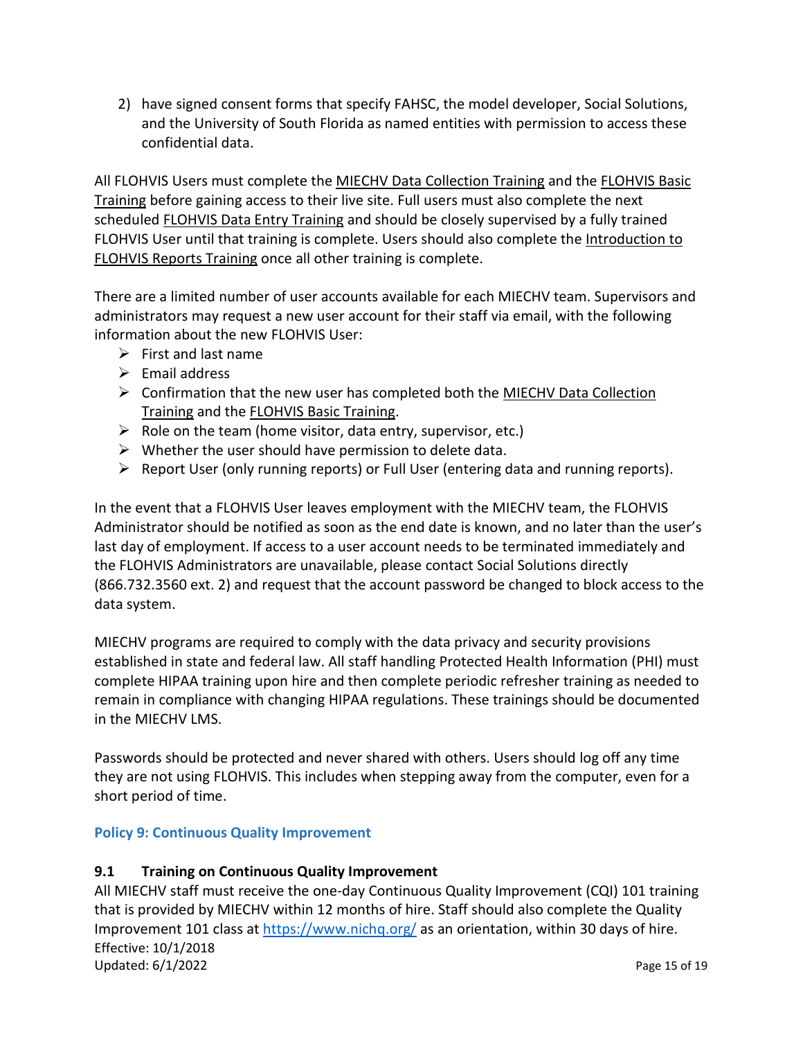2) have signed consent forms that specify FAHSC, the model developer, Social Solutions, and the University of South Florida as named entities with permission to access these confidential data.

All FLOHVIS Users must complete the MIECHV Data Collection Training and the FLOHVIS Basic Training before gaining access to their live site. Full users must also complete the next scheduled FLOHVIS Data Entry Training and should be closely supervised by a fully trained FLOHVIS User until that training is complete. Users should also complete the Introduction to FLOHVIS Reports Training once all other training is complete.

There are a limited number of user accounts available for each MIECHV team. Supervisors and administrators may request a new user account for their staff via email, with the following information about the new FLOHVIS User:

- $\triangleright$  First and last name
- $\triangleright$  Email address
- $\triangleright$  Confirmation that the new user has completed both the MIECHV Data Collection Training and the FLOHVIS Basic Training.
- $\triangleright$  Role on the team (home visitor, data entry, supervisor, etc.)
- $\triangleright$  Whether the user should have permission to delete data.
- $\triangleright$  Report User (only running reports) or Full User (entering data and running reports).

In the event that a FLOHVIS User leaves employment with the MIECHV team, the FLOHVIS Administrator should be notified as soon as the end date is known, and no later than the user's last day of employment. If access to a user account needs to be terminated immediately and the FLOHVIS Administrators are unavailable, please contact Social Solutions directly (866.732.3560 ext. 2) and request that the account password be changed to block access to the data system.

MIECHV programs are required to comply with the data privacy and security provisions established in state and federal law. All staff handling Protected Health Information (PHI) must complete HIPAA training upon hire and then complete periodic refresher training as needed to remain in compliance with changing HIPAA regulations. These trainings should be documented in the MIECHV LMS.

Passwords should be protected and never shared with others. Users should log off any time they are not using FLOHVIS. This includes when stepping away from the computer, even for a short period of time.

# <span id="page-14-0"></span>**Policy 9: Continuous Quality Improvement**

# <span id="page-14-1"></span>**9.1 Training on Continuous Quality Improvement**

Effective: 10/1/2018 Updated: 6/1/2022 **Page 15 of 19** All MIECHV staff must receive the one-day Continuous Quality Improvement (CQI) 101 training that is provided by MIECHV within 12 months of hire. Staff should also complete the Quality Improvement 101 class at<https://www.nichq.org/> as an orientation, within 30 days of hire.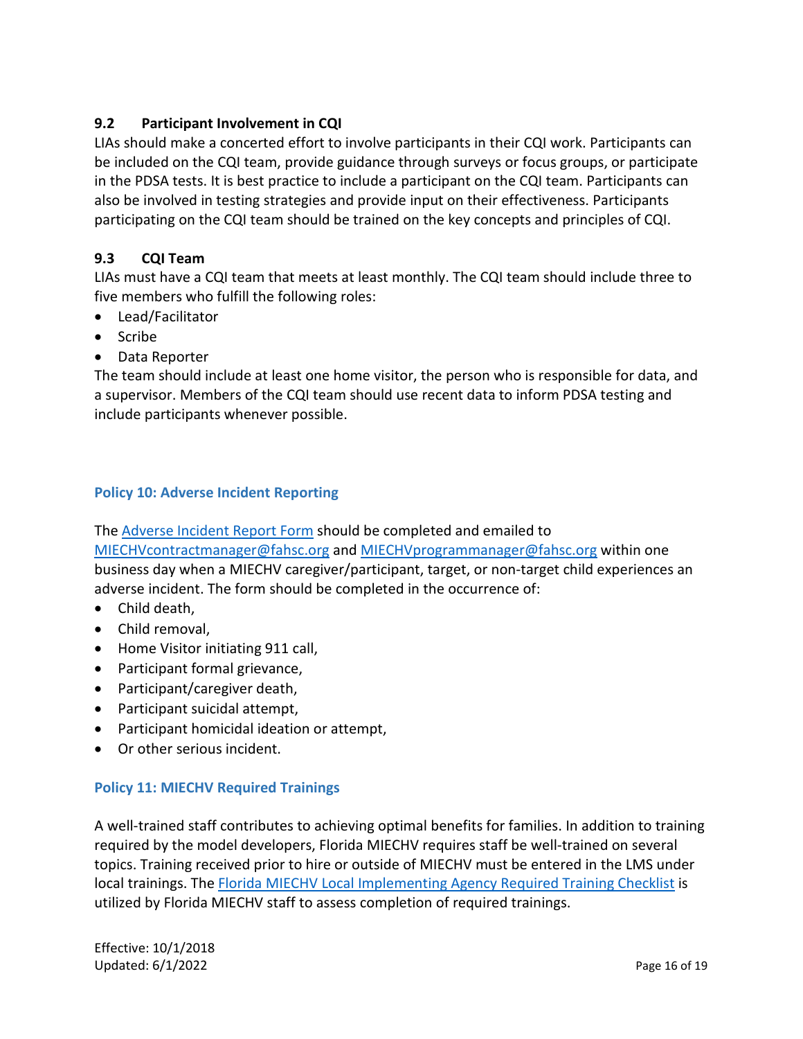# <span id="page-15-0"></span>**9.2 Participant Involvement in CQI**

LIAs should make a concerted effort to involve participants in their CQI work. Participants can be included on the CQI team, provide guidance through surveys or focus groups, or participate in the PDSA tests. It is best practice to include a participant on the CQI team. Participants can also be involved in testing strategies and provide input on their effectiveness. Participants participating on the CQI team should be trained on the key concepts and principles of CQI.

# <span id="page-15-1"></span>**9.3 CQI Team**

LIAs must have a CQI team that meets at least monthly. The CQI team should include three to five members who fulfill the following roles:

- Lead/Facilitator
- Scribe
- Data Reporter

The team should include at least one home visitor, the person who is responsible for data, and a supervisor. Members of the CQI team should use recent data to inform PDSA testing and include participants whenever possible.

# <span id="page-15-2"></span>**Policy 10: Adverse Incident Reporting**

The [Adverse Incident Report Form](https://www.flmiechv.com/wp-content/uploads/Florida-MIECHV-Adverse-Incident-Report-Form_Updated2.20.doc) should be completed and emailed to [MIECHVcontractmanager@fahsc.org](mailto:MIECHVcontractmanager@fahsc.org) and [MIECHVprogrammanager@fahsc.org](mailto:MIECHVprogrammanager@fahsc.org) within one business day when a MIECHV caregiver/participant, target, or non-target child experiences an adverse incident. The form should be completed in the occurrence of:

- Child death,
- Child removal,
- Home Visitor initiating 911 call,
- Participant formal grievance,
- Participant/caregiver death,
- Participant suicidal attempt,
- Participant homicidal ideation or attempt,
- Or other serious incident.

# <span id="page-15-3"></span>**Policy 11: MIECHV Required Trainings**

A well-trained staff contributes to achieving optimal benefits for families. In addition to training required by the model developers, Florida MIECHV requires staff be well-trained on several topics. Training received prior to hire or outside of MIECHV must be entered in the LMS under local trainings. The [Florida MIECHV Local Implementing Agency Required Training Checklist](https://www.flmiechv.com/wp-content/uploads/Florida-MIECHV-LIA-Required-Training-Checklist-2.docx) is utilized by Florida MIECHV staff to assess completion of required trainings.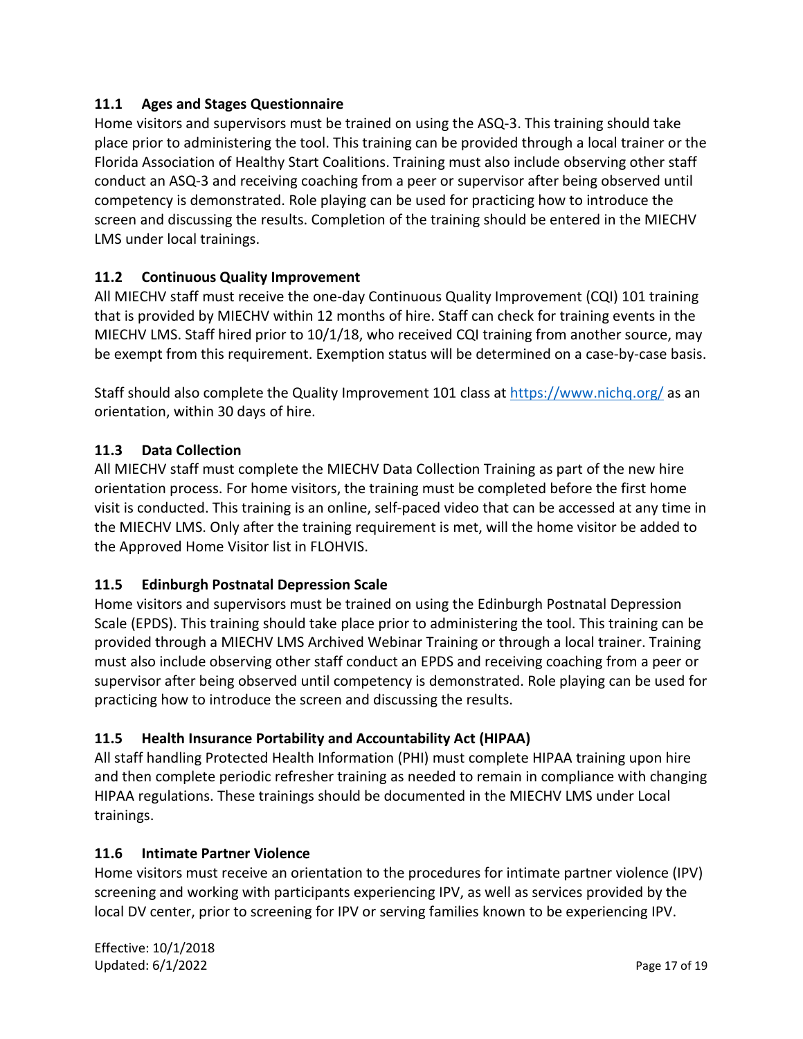# <span id="page-16-0"></span>**11.1 Ages and Stages Questionnaire**

Home visitors and supervisors must be trained on using the ASQ-3. This training should take place prior to administering the tool. This training can be provided through a local trainer or the Florida Association of Healthy Start Coalitions. Training must also include observing other staff conduct an ASQ-3 and receiving coaching from a peer or supervisor after being observed until competency is demonstrated. Role playing can be used for practicing how to introduce the screen and discussing the results. Completion of the training should be entered in the MIECHV LMS under local trainings.

# <span id="page-16-1"></span>**11.2 Continuous Quality Improvement**

All MIECHV staff must receive the one-day Continuous Quality Improvement (CQI) 101 training that is provided by MIECHV within 12 months of hire. Staff can check for training events in the MIECHV LMS. Staff hired prior to 10/1/18, who received CQI training from another source, may be exempt from this requirement. Exemption status will be determined on a case-by-case basis.

Staff should also complete the Quality Improvement 101 class at<https://www.nichq.org/> as an orientation, within 30 days of hire.

# <span id="page-16-2"></span>**11.3 Data Collection**

All MIECHV staff must complete the MIECHV Data Collection Training as part of the new hire orientation process. For home visitors, the training must be completed before the first home visit is conducted. This training is an online, self-paced video that can be accessed at any time in the MIECHV LMS. Only after the training requirement is met, will the home visitor be added to the Approved Home Visitor list in FLOHVIS.

# <span id="page-16-3"></span>**11.5 Edinburgh Postnatal Depression Scale**

Home visitors and supervisors must be trained on using the Edinburgh Postnatal Depression Scale (EPDS). This training should take place prior to administering the tool. This training can be provided through a MIECHV LMS Archived Webinar Training or through a local trainer. Training must also include observing other staff conduct an EPDS and receiving coaching from a peer or supervisor after being observed until competency is demonstrated. Role playing can be used for practicing how to introduce the screen and discussing the results.

# <span id="page-16-4"></span>**11.5 Health Insurance Portability and Accountability Act (HIPAA)**

All staff handling Protected Health Information (PHI) must complete HIPAA training upon hire and then complete periodic refresher training as needed to remain in compliance with changing HIPAA regulations. These trainings should be documented in the MIECHV LMS under Local trainings.

# <span id="page-16-5"></span>**11.6 Intimate Partner Violence**

Home visitors must receive an orientation to the procedures for intimate partner violence (IPV) screening and working with participants experiencing IPV, as well as services provided by the local DV center, prior to screening for IPV or serving families known to be experiencing IPV.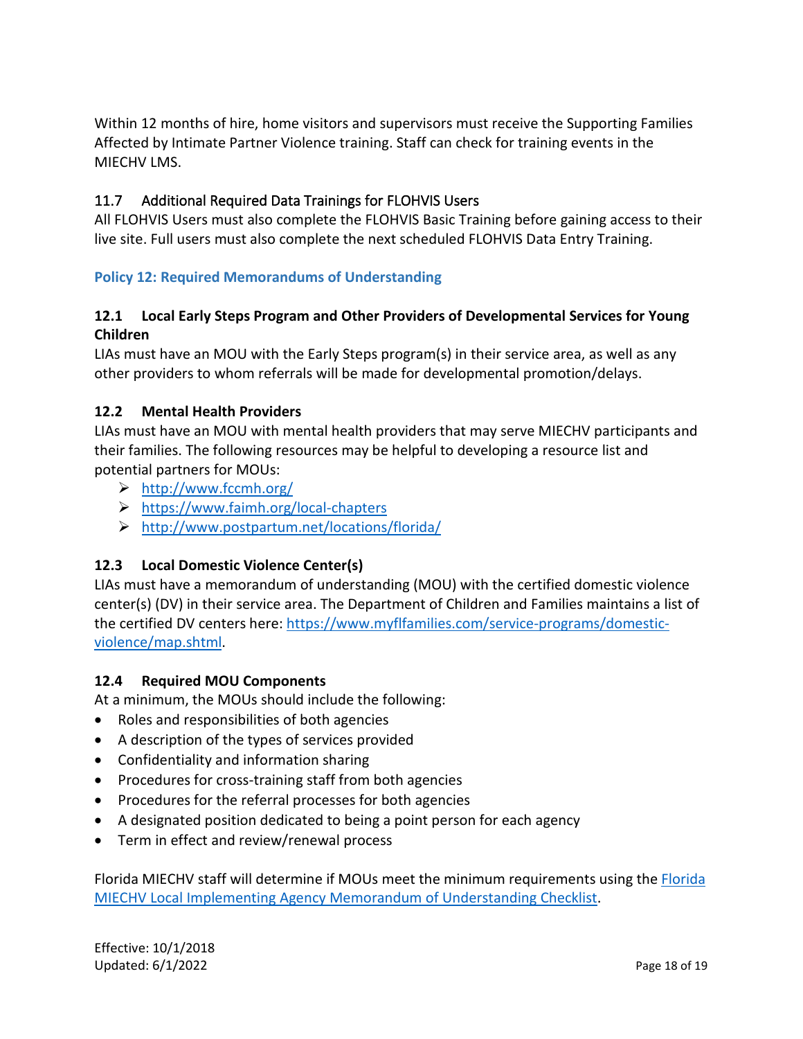Within 12 months of hire, home visitors and supervisors must receive the Supporting Families Affected by Intimate Partner Violence training. Staff can check for training events in the MIECHV LMS.

# <span id="page-17-0"></span>11.7 Additional Required Data Trainings for FLOHVIS Users

All FLOHVIS Users must also complete the FLOHVIS Basic Training before gaining access to their live site. Full users must also complete the next scheduled FLOHVIS Data Entry Training.

### <span id="page-17-1"></span>**Policy 12: Required Memorandums of Understanding**

### <span id="page-17-2"></span>**12.1 Local Early Steps Program and Other Providers of Developmental Services for Young Children**

LIAs must have an MOU with the Early Steps program(s) in their service area, as well as any other providers to whom referrals will be made for developmental promotion/delays.

#### <span id="page-17-3"></span>**12.2 Mental Health Providers**

LIAs must have an MOU with mental health providers that may serve MIECHV participants and their families. The following resources may be helpful to developing a resource list and potential partners for MOUs:

- <http://www.fccmh.org/>
- <https://www.faimh.org/local-chapters>
- <http://www.postpartum.net/locations/florida/>

#### <span id="page-17-4"></span>**12.3 Local Domestic Violence Center(s)**

LIAs must have a memorandum of understanding (MOU) with the certified domestic violence center(s) (DV) in their service area. The Department of Children and Families maintains a list of the certified DV centers here: [https://www.myflfamilies.com/service-programs/domestic](https://www.myflfamilies.com/service-programs/domestic-violence/map.shtml)[violence/map.shtml.](https://www.myflfamilies.com/service-programs/domestic-violence/map.shtml)

#### <span id="page-17-5"></span>**12.4 Required MOU Components**

At a minimum, the MOUs should include the following:

- Roles and responsibilities of both agencies
- A description of the types of services provided
- Confidentiality and information sharing
- Procedures for cross-training staff from both agencies
- Procedures for the referral processes for both agencies
- A designated position dedicated to being a point person for each agency
- Term in effect and review/renewal process

Florida MIECHV staff will determine if MOUs meet the minimum requirements using the [Florida](https://www.flmiechv.com/wp-content/uploads/Florida-MIECHV-LIA-MOU-Checklist.docx)  [MIECHV Local Implementing Agency Memorandum of Understanding Checklist.](https://www.flmiechv.com/wp-content/uploads/Florida-MIECHV-LIA-MOU-Checklist.docx)